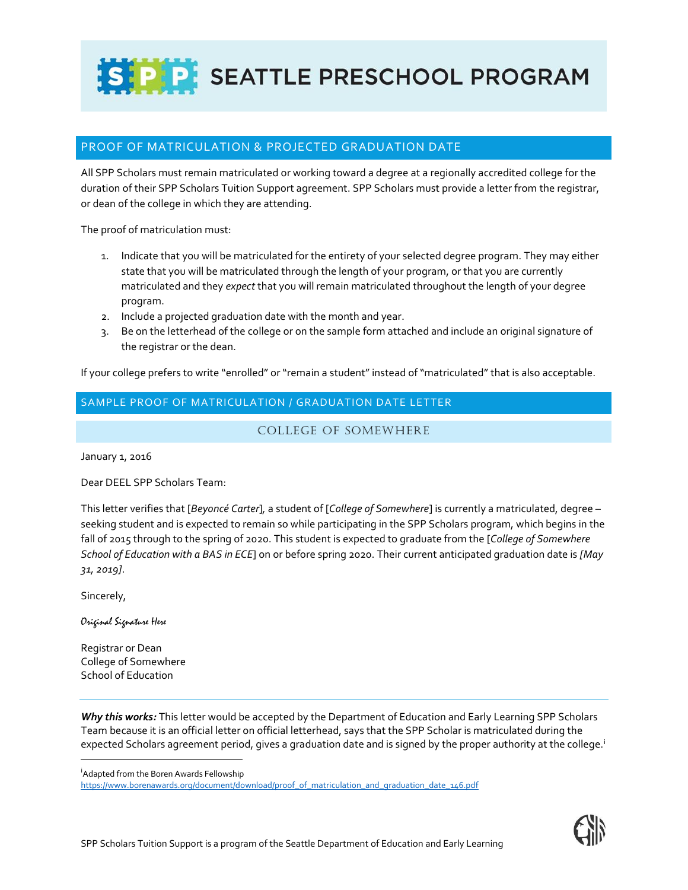S P P SEATTLE PRESCHOOL PROGRAM

## PROOF OF MATRICULATION & PROJECTED GRADUATION DATE

All SPP Scholars must remain matriculated or working toward a degree at a regionally accredited college for the duration of their SPP Scholars Tuition Support agreement. SPP Scholars must provide a letter from the registrar, or dean of the college in which they are attending.

The proof of matriculation must:

- 1. Indicate that you will be matriculated for the entirety of your selected degree program. They may either state that you will be matriculated through the length of your program, or that you are currently matriculated and they *expect* that you will remain matriculated throughout the length of your degree program.
- 2. Include a projected graduation date with the month and year.
- 3. Be on the letterhead of the college or on the sample form attached and include an original signature of the registrar or the dean.

If your college prefers to write "enrolled" or "remain a student" instead of "matriculated" that is also acceptable.

SAMPLE PROOF OF MATRICULATION / GRADUATION DATE LETTER

COLLEGE OF SOMEWHERE

January 1, 2016

Dear DEEL SPP Scholars Team:

This letter verifies that [*Beyoncé Carter*]*,* a student of [*College of Somewhere*] is currently a matriculated, degree – seeking student and is expected to remain so while participating in the SPP Scholars program, which begins in the fall of 2015 through to the spring of 2020. This student is expected to graduate from the [*College of Somewhere School of Education with a BAS in ECE*] on or before spring 2020. Their current anticipated graduation date is *[May 31, 2019]*.

Sincerely,

 $\overline{a}$ 

Original Signature Here

Registrar or Dean College of Somewhere School of Education

*Why this works:* This letter would be accepted by the Department of Education and Early Learning SPP Scholars Team because it is an official letter on official letterhead, says that the SPP Scholar is matriculated during the expected Scholars agreement period, gives a graduation date and is signed by the proper authority at the college.<sup>1</sup>

<sup>i</sup>Adapted from the Boren Awards Fellowship

[https://www.borenawards.org/document/download/proof\\_of\\_matriculation\\_and\\_graduation\\_date\\_146.pdf](https://www.borenawards.org/document/download/proof_of_matriculation_and_graduation_date_146.pdf)